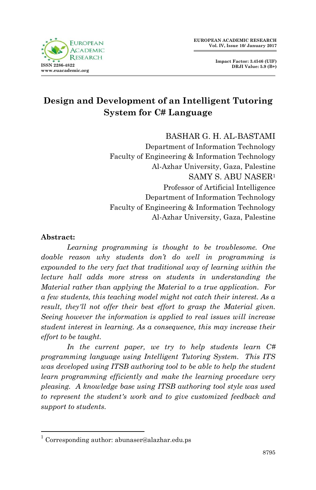



# **Design and Development of an Intelligent Tutoring System for C# Language**

# BASHAR G. H. AL-BASTAMI

Department of Information Technology Faculty of Engineering & Information Technology Al-Azhar University, Gaza, Palestine SAMY S. ABU NASER<sup>1</sup> Professor of Artificial Intelligence Department of Information Technology Faculty of Engineering & Information Technology Al-Azhar University, Gaza, Palestine

#### **Abstract:**

 *Learning programming is thought to be troublesome. One doable reason why students don't do well in programming is expounded to the very fact that traditional way of learning within the lecture hall adds more stress on students in understanding the Material rather than applying the Material to a true application. For a few students, this teaching model might not catch their interest. As a*  result, they'll not offer their best effort to grasp the Material given. *Seeing however the information is applied to real issues will increase student interest in learning. As a consequence, this may increase their effort to be taught.* 

*In the current paper, we try to help students learn C# programming language using Intelligent Tutoring System. This ITS was developed using ITSB authoring tool to be able to help the student learn programming efficiently and make the learning procedure very pleasing. A knowledge base using ITSB authoring tool style was used to represent the student's work and to give customized feedback and support to students.*

<sup>1</sup> <sup>1</sup> Corresponding author: abunaser@alazhar.edu.ps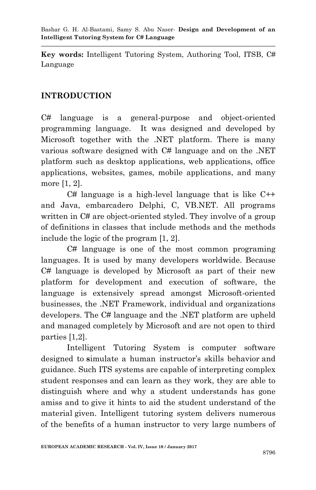**Key words:** Intelligent Tutoring System, Authoring Tool, ITSB, C# Language

# **INTRODUCTION**

C# language is a general-purpose and object-oriented programming language. It was designed and developed by Microsoft together with the .NET platform. There is many various software designed with C# language and on the .NET platform such as desktop applications, web applications, office applications, websites, games, mobile applications, and many more [1, 2].

 $C#$  language is a high-level language that is like  $C++$ and Java, embarcadero Delphi, C, VB.NET. All programs written in C# are object-oriented styled. They involve of a group of definitions in classes that include methods and the methods include the logic of the program [1, 2].

C# language is one of the most common programing languages. It is used by many developers worldwide. Because C# language is developed by Microsoft as part of their new platform for development and execution of software, the language is extensively spread amongst Microsoft-oriented businesses, the .NET Framework, individual and organizations developers. The C# language and the .NET platform are upheld and managed completely by Microsoft and are not open to third parties [1,2].

Intelligent Tutoring System is computer software designed to **s**imulate a human instructor's skills behavior and guidance. Such ITS systems are capable of interpreting complex student responses and can learn as they work, they are able to distinguish where and why a student understands has gone amiss and to give it hints to aid the student understand of the material given. Intelligent tutoring system delivers numerous of the benefits of a human instructor to very large numbers of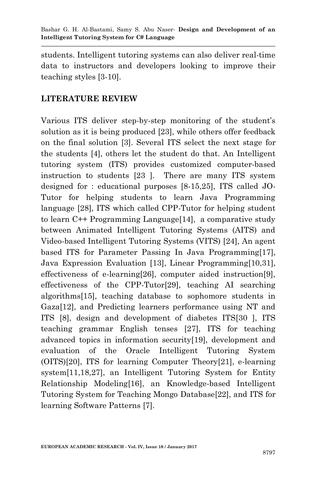students. Intelligent tutoring systems can also deliver real-time data to instructors and developers looking to improve their teaching styles [3-10].

# **LITERATURE REVIEW**

Various ITS deliver step-by-step monitoring of the student's solution as it is being produced [23], while others offer feedback on the final solution [3]. Several ITS select the next stage for the students [4], others let the student do that. An Intelligent tutoring system (ITS) provides customized computer-based instruction to students [23 ]. There are many ITS system designed for : educational purposes [8-15,25], ITS called JO-Tutor for helping students to learn Java Programming language [28], ITS which called CPP-Tutor for helping student to learn C++ Programming Language[14], a comparative study between Animated Intelligent Tutoring Systems (AITS) and Video-based Intelligent Tutoring Systems (VITS) [24], An agent based ITS for Parameter Passing In Java Programming[17], Java Expression Evaluation [13], Linear Programming[10,31], effectiveness of e-learning[26], computer aided instruction[9], effectiveness of the CPP-Tutor[29], teaching AI searching algorithms[15], teaching database to sophomore students in Gaza[12], and Predicting learners performance using NT and ITS [8], design and development of diabetes ITS[30 ], ITS teaching grammar English tenses [27], ITS for teaching advanced topics in information security[19], development and evaluation of the Oracle Intelligent Tutoring System (OITS)[20], ITS for learning Computer Theory[21], e-learning system[11,18,27], an Intelligent Tutoring System for Entity Relationship Modeling[16], an Knowledge-based Intelligent Tutoring System for Teaching Mongo Database[22], and ITS for learning Software Patterns [7].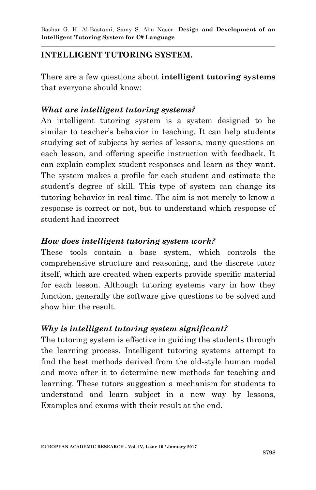# **INTELLIGENT TUTORING SYSTEM.**

There are a few questions about **intelligent tutoring systems** that everyone should know:

# *What are intelligent tutoring systems?*

An intelligent tutoring system is a system designed to be similar to teacher's behavior in teaching. It can help students studying set of subjects by series of lessons, many questions on each lesson, and offering specific instruction with feedback. It can explain complex student responses and learn as they want. The system makes a profile for each student and estimate the student's degree of skill. This type of system can change its tutoring behavior in real time. The aim is not merely to know a response is correct or not, but to understand which response of student had incorrect

# *How does intelligent tutoring system work?*

These tools contain a base system, which controls the comprehensive structure and reasoning, and the discrete tutor itself, which are created when experts provide specific material for each lesson. Although tutoring systems vary in how they function, generally the software give questions to be solved and show him the result.

# *Why is intelligent tutoring system significant?*

The tutoring system is effective in guiding the students through the learning process. Intelligent tutoring systems attempt to find the best methods derived from the old-style human model and move after it to determine new methods for teaching and learning. These tutors suggestion a mechanism for students to understand and learn subject in a new way by lessons, Examples and exams with their result at the end.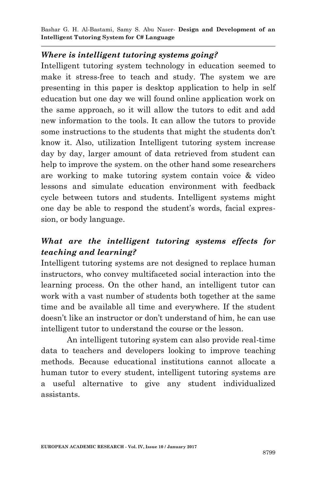#### *Where is intelligent tutoring systems going?*

Intelligent tutoring system technology in education seemed to make it stress-free to teach and study. The system we are presenting in this paper is desktop application to help in self education but one day we will found online application work on the same approach, so it will allow the tutors to edit and add new information to the tools. It can allow the tutors to provide some instructions to the students that might the students don't know it. Also, utilization Intelligent tutoring system increase day by day, larger amount of data retrieved from student can help to improve the system. on the other hand some researchers are working to make tutoring system contain voice & video lessons and simulate education environment with feedback cycle between tutors and students. Intelligent systems might one day be able to respond the student's words, facial expression, or body language.

# *What are the intelligent tutoring systems effects for teaching and learning?*

Intelligent tutoring systems are not designed to replace human instructors, who convey multifaceted social interaction into the learning process. On the other hand, an intelligent tutor can work with a vast number of students both together at the same time and be available all time and everywhere. If the student doesn't like an instructor or don't understand of him, he can use intelligent tutor to understand the course or the lesson.

An intelligent tutoring system can also provide real-time data to teachers and developers looking to improve teaching methods. Because educational institutions cannot allocate a human tutor to every student, intelligent tutoring systems are a useful alternative to give any student individualized assistants.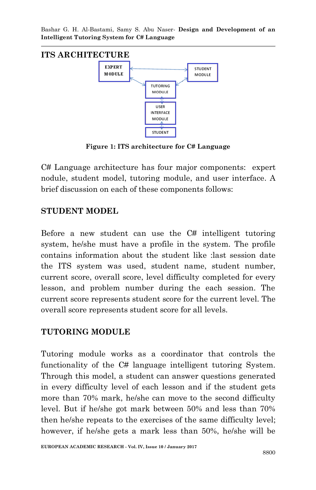

**Figure 1: ITS architecture for C# Language**

C# Language architecture has four major components: expert nodule, student model, tutoring module, and user interface. A brief discussion on each of these components follows:

# **STUDENT MODEL**

Before a new student can use the C# intelligent tutoring system, he/she must have a profile in the system. The profile contains information about the student like :last session date the ITS system was used, student name, student number, current score, overall score, level difficulty completed for every lesson, and problem number during the each session. The current score represents student score for the current level. The overall score represents student score for all levels.

# **TUTORING MODULE**

Tutoring module works as a coordinator that controls the functionality of the C# language intelligent tutoring System. Through this model, a student can answer questions generated in every difficulty level of each lesson and if the student gets more than 70% mark, he/she can move to the second difficulty level. But if he/she got mark between 50% and less than 70% then he/she repeats to the exercises of the same difficulty level; however, if he/she gets a mark less than 50%, he/she will be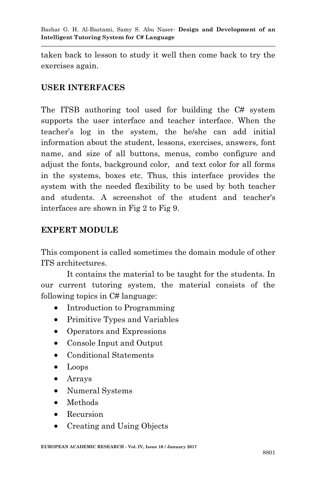taken back to lesson to study it well then come back to try the exercises again.

#### **USER INTERFACES**

The ITSB authoring tool used for building the C# system supports the user interface and teacher interface. When the teacher's log in the system, the he/she can add initial information about the student, lessons, exercises, answers, font name, and size of all buttons, menus, combo configure and adjust the fonts, background color, and text color for all forms in the systems, boxes etc. Thus, this interface provides the system with the needed flexibility to be used by both teacher and students. A screenshot of the student and teacher's interfaces are shown in Fig 2 to Fig 9.

# **EXPERT MODULE**

This component is called sometimes the domain module of other ITS architectures.

It contains the material to be taught for the students. In our current tutoring system, the material consists of the following topics in C# language:

- Introduction to Programming
- Primitive Types and Variables
- Operators and Expressions
- Console Input and Output
- Conditional Statements
- Loops
- Arrays
- Numeral Systems
- Methods
- Recursion
- Creating and Using Objects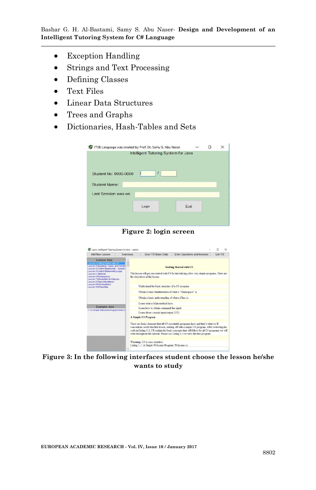- Exception Handling
- Strings and Text Processing
- Defining Classes
- Text Files
- Linear Data Structures
- Trees and Graphs
- Dictionaries, Hash-Tables and Sets



**Figure 2: login screen**



**Figure 3: In the following interfaces student choose the lesson he/she wants to study**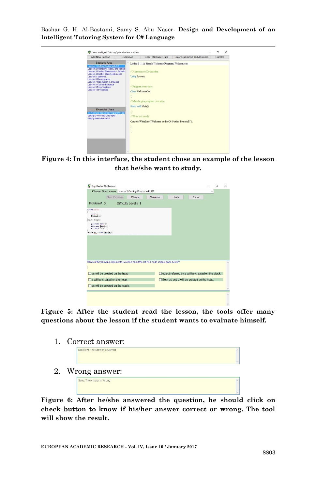

**Figure 4: In this interface, the student chose an example of the lesson that he/she want to study.**

|                                                                                                                                                                                                            | $\checkmark$ |  |
|------------------------------------------------------------------------------------------------------------------------------------------------------------------------------------------------------------|--------------|--|
| New Problem<br>Solution<br><b>Stats</b><br>Check<br>Close                                                                                                                                                  |              |  |
| Problem # 3<br>Difficulty Level # 1                                                                                                                                                                        |              |  |
| class Trial                                                                                                                                                                                                |              |  |
| inn 11                                                                                                                                                                                                     |              |  |
| Mirowt Semple                                                                                                                                                                                              |              |  |
| private int as<br>privele Single y:<br>ryinate "via" at                                                                                                                                                    |              |  |
|                                                                                                                                                                                                            |              |  |
|                                                                                                                                                                                                            |              |  |
|                                                                                                                                                                                                            |              |  |
| $\Box$ object referred by $z$ will be created on the stack.<br>ss will be created on the heap                                                                                                              |              |  |
| Sample on m mew Sample();<br>Which of the following statements is correct about the C#.NET code snippet given below?<br>Both ss and z will be created on the heap<br>$\Box$ z will be created on the heap. |              |  |

**Figure 5: After the student read the lesson, the tools offer many questions about the lesson if the student wants to evaluate himself.**

1. Correct answer:

|    | Excellent, The Answer is Correct |  |
|----|----------------------------------|--|
| 2. | Wrong answer:                    |  |
|    | Sorry, The Answer is Wrong       |  |

**Figure 6: After he/she answered the question, he should click on check button to know if his/her answer correct or wrong. The tool will show the result.**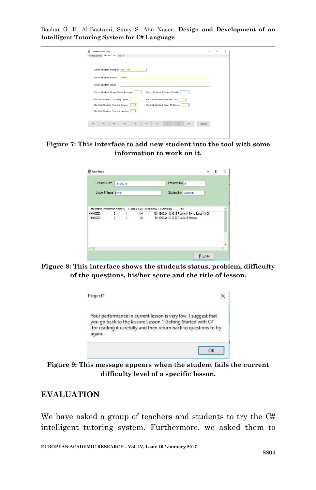| <b>Constants Data Entry</b>                                                                | $\sim$ | $\Box$ | $\times$ |
|--------------------------------------------------------------------------------------------|--------|--------|----------|
| ITS Basic Data Studnts Data Colors                                                         |        |        |          |
|                                                                                            |        |        |          |
| Enter Student Number 20031234                                                              |        |        |          |
| <b>Enter Student Name</b><br>khaled                                                        |        |        |          |
| <b>Enter Student Major</b>                                                                 |        |        |          |
| <b>Enter Student Passed Credits</b><br>Enter Student Grade Point Average                   |        |        |          |
| <b>Re-Set Student Difficulty Level</b><br>Re-Set Student Problem No<br>$\alpha$            |        |        |          |
| <b>Re-Set Student Current Score</b><br>Re-Set Student Over All Score<br>$\circ$<br>$\circ$ |        |        |          |
| Re-Set Student Current Lesson<br>$\circ$                                                   |        |        |          |
|                                                                                            |        |        |          |
| $\sim$<br>Close<br>$\overline{1}$<br>ы<br>$\mathcal{M}$                                    |        |        |          |
|                                                                                            |        |        |          |

**Figure 7: This interface to add new student into the tool with some information to work on it.**

| <b>Session Date</b>            | 12/12/2016     |         | Problem No 8                                               |          |
|--------------------------------|----------------|---------|------------------------------------------------------------|----------|
| Student Name bdmin             |                |         | Student No 00000000                                        |          |
|                                |                |         |                                                            |          |
| studentNo ProblemNo difficulty |                |         | CurrentScore OverallScore SessionDate<br>title             | $\wedge$ |
| $\blacktriangleright$ 00000000 | $\overline{c}$ | 100     | 100 12/10/2016 2:40:18 PI Lesson 1 Getting Started with C# |          |
| 00000000                       | $\overline{c}$ | 1<br>50 | 50 12/10/2016 3:30:53 PI Lesson 5 Methods                  |          |
|                                |                |         |                                                            |          |
|                                |                |         |                                                            |          |

**Figure 8: This interface shows the students status, problem, difficulty of the questions, his/her score and the title of lesson.**



**Figure 9: This message appears when the student fails the current difficulty level of a specific lesson.**

# **EVALUATION**

We have asked a group of teachers and students to try the C# intelligent tutoring system. Furthermore, we asked them to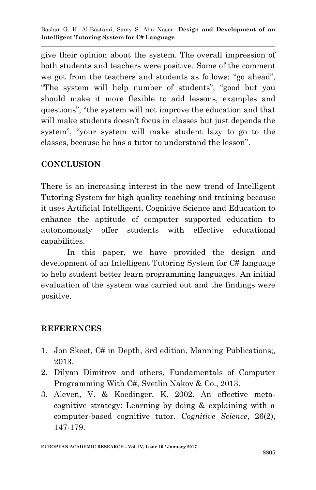give their opinion about the system. The overall impression of both students and teachers were positive. Some of the comment we got from the teachers and students as follows: "go ahead", "The system will help number of students", "good but you should make it more flexible to add lessons, examples and questions", "the system will not improve the education and that will make students doesn't focus in classes but just depends the system", "your system will make student lazy to go to the classes, because he has a tutor to understand the lesson".

# **CONCLUSION**

There is an increasing interest in the new trend of Intelligent Tutoring System for high quality teaching and training because it uses Artificial Intelligent, Cognitive Science and Education to enhance the aptitude of computer supported education to autonomously offer students with effective educational capabilities.

In this paper, we have provided the design and development of an Intelligent Tutoring System for C# language to help student better learn programming languages. An initial evaluation of the system was carried out and the findings were positive.

# **REFERENCES**

- 1. Jon Skeet, C# in Depth, 3rd edition, Manning Publications;, 2013.
- 2. Dilyan Dimitrov and others, Fundamentals of Computer Programming With C#, Svetlin Nakov & Co., 2013.
- 3. Aleven, V. & Koedinger, K. 2002. An effective metacognitive strategy: Learning by doing & explaining with a computer-based cognitive tutor. *Cognitive Science*, 26(2), 147-179.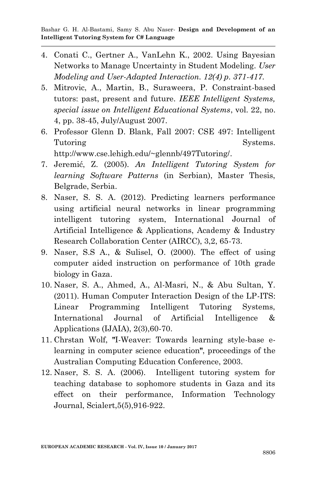- 4. Conati C., Gertner A., VanLehn K., 2002. Using Bayesian Networks to Manage Uncertainty in Student Modeling. *User Modeling and User-Adapted Interaction. 12(4) p. 371-417.*
- 5. Mitrovic, A., Martin, B., Suraweera, P. Constraint-based tutors: past, present and future. *IEEE Intelligent Systems, special issue on Intelligent Educational Systems*, vol. 22, no. 4, pp. 38-45, July/August 2007.
- 6. Professor Glenn D. Blank, Fall 2007: CSE 497: Intelligent Tutoring Systems. http://www.cse.lehigh.edu/~glennb/497Tutoring/.
- 7. Jeremić, Z. (2005). *An Intelligent Tutoring System for learning Software Patterns* (in Serbian), Master Thesis, Belgrade, Serbia.
- 8. Naser, S. S. A. (2012). Predicting learners performance using artificial neural networks in linear programming intelligent tutoring system, International Journal of Artificial Intelligence & Applications, Academy & Industry Research Collaboration Center (AIRCC), 3,2, 65-73.
- 9. Naser, S.S A., & Sulisel, O. (2000). The effect of using computer aided instruction on performance of 10th grade biology in Gaza.
- 10. Naser, S. A., Ahmed, A., Al-Masri, N., & Abu Sultan, Y. (2011). Human Computer Interaction Design of the LP-ITS: Linear Programming Intelligent Tutoring Systems, International Journal of Artificial Intelligence & Applications (IJAIA), 2(3),60-70.
- 11. Chrstan Wolf, **"**I-Weaver: Towards learning style-base elearning in computer science education**"**, proceedings of the Australian Computing Education Conference, 2003.
- 12. Naser, S. S. A. (2006). Intelligent tutoring system for teaching database to sophomore students in Gaza and its effect on their performance, Information Technology Journal, Scialert,5(5),916-922.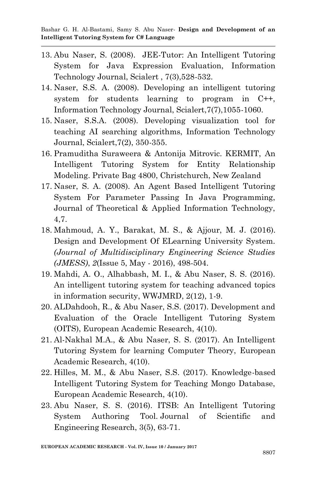- 13. Abu Naser, S. (2008). JEE-Tutor: An Intelligent Tutoring System for Java Expression Evaluation, Information Technology Journal, Scialert , 7(3),528-532.
- 14. Naser, S.S. A. (2008). Developing an intelligent tutoring system for students learning to program in C++, Information Technology Journal, Scialert,7(7),1055-1060.
- 15. Naser, S.S.A. (2008). Developing visualization tool for teaching AI searching algorithms, Information Technology Journal, Scialert,7(2), 350-355.
- 16. Pramuditha Suraweera & Antonija Mitrovic. KERMIT, An Intelligent Tutoring System for Entity Relationship Modeling. Private Bag 4800, Christchurch, New Zealand
- 17. Naser, S. A. (2008). An Agent Based Intelligent Tutoring System For Parameter Passing In Java Programming, Journal of Theoretical & Applied Information Technology, 4,7.
- 18. Mahmoud, A. Y., Barakat, M. S., & Ajjour, M. J. (2016). Design and Development Of ELearning University System. *(Journal of Multidisciplinary Engineering Science Studies (JMESS)*, *2*(Issue 5, May - 2016), 498-504.
- 19. Mahdi, A. O., Alhabbash, M. I., & Abu Naser, S. S. (2016). An intelligent tutoring system for teaching advanced topics in information security, WWJMRD, 2(12), 1-9.
- 20. ALDahdooh, R., & Abu Naser, S.S. (2017). Development and Evaluation of the Oracle Intelligent Tutoring System (OITS), European Academic Research, 4(10).
- 21. Al-Nakhal M.A., & Abu Naser, S. S. (2017). An Intelligent Tutoring System for learning Computer Theory, European Academic Research, 4(10).
- 22. Hilles, M. M., & Abu Naser, S.S. (2017). Knowledge-based Intelligent Tutoring System for Teaching Mongo Database, European Academic Research, 4(10).
- 23. Abu Naser, S. S. (2016). ITSB: An Intelligent Tutoring System Authoring Tool. Journal of Scientific and Engineering Research, 3(5), 63-71.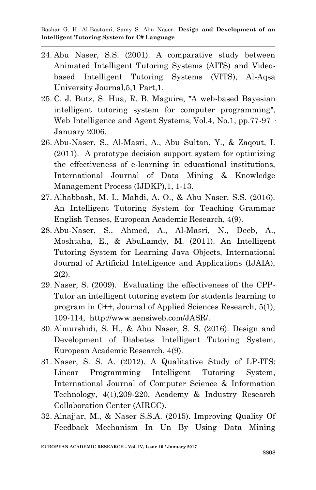- 24. Abu Naser, S.S. (2001). A comparative study between Animated Intelligent Tutoring Systems (AITS) and Videobased Intelligent Tutoring Systems (VITS), Al-Aqsa University Journal,5,1 Part,1.
- 25. C. J. Butz, S. Hua, R. B. Maguire, **"**A web-based Bayesian intelligent tutoring system for computer programming**"**, Web Intelligence and Agent Systems, Vol.4, No.1, pp.77-97 · January 2006.
- 26. Abu-Naser, S., Al-Masri, A., Abu Sultan, Y., & Zaqout, I. (2011). A prototype decision support system for optimizing the effectiveness of e-learning in educational institutions, International Journal of Data Mining & Knowledge Management Process (IJDKP),1, 1-13.
- 27. Alhabbash, M. I., Mahdi, A. O., & Abu Naser, S.S. (2016). An Intelligent Tutoring System for Teaching Grammar English Tenses, European Academic Research, 4(9).
- 28. Abu-Naser, S., Ahmed, A., Al-Masri, N., Deeb, A., Moshtaha, E., & AbuLamdy, M. (2011). An Intelligent Tutoring System for Learning Java Objects, International Journal of Artificial Intelligence and Applications (IJAIA), 2(2).
- 29. Naser, S. (2009). Evaluating the effectiveness of the CPP-Tutor an intelligent tutoring system for students learning to program in C++, Journal of Applied Sciences Research, 5(1), 109-114, http://www.aensiweb.com/JASR/.
- 30. Almurshidi, S. H., & Abu Naser, S. S. (2016). Design and Development of Diabetes Intelligent Tutoring System, European Academic Research, 4(9).
- 31. Naser, S. S. A. (2012). A Qualitative Study of LP-ITS: Linear Programming Intelligent Tutoring System, International Journal of Computer Science & Information Technology, 4(1),209-220, Academy & Industry Research Collaboration Center (AIRCC).
- 32. Alnajjar, M., & Naser S.S.A. (2015). Improving Quality Of Feedback Mechanism In Un By Using Data Mining